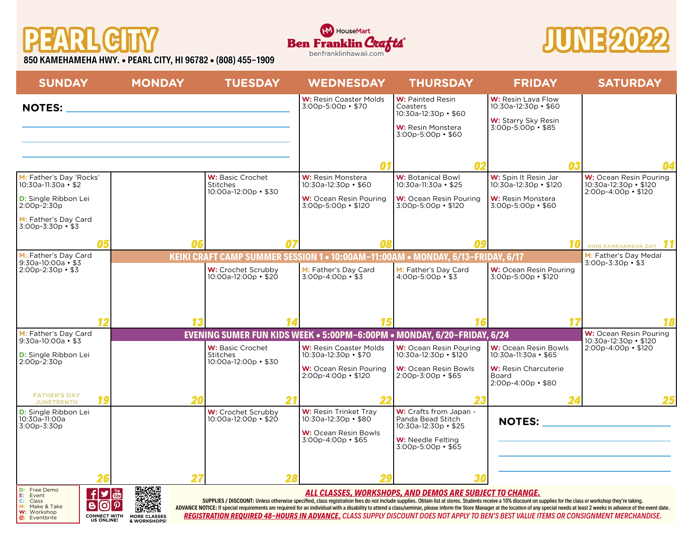## **PEARL CITY**





**850 KAMEHAMEHA HWY. • PEARL CITY, HI 96782 • (808) 455-1909**

| <b>SUNDAY</b>                                                                                                         |                                                                         | <b>MONDAY</b>                                                                                                       | <b>TUESDAY</b>                                                     |    | <b>WEDNESDAY</b>                                                                                            | <b>THURSDAY</b>                                                                                                                 | <b>FRIDAY</b>                                                                                                                                                                                                                                                                                                                                                                                                                                                                                                                                                                             | <b>SATURDAY</b>                                                                         |
|-----------------------------------------------------------------------------------------------------------------------|-------------------------------------------------------------------------|---------------------------------------------------------------------------------------------------------------------|--------------------------------------------------------------------|----|-------------------------------------------------------------------------------------------------------------|---------------------------------------------------------------------------------------------------------------------------------|-------------------------------------------------------------------------------------------------------------------------------------------------------------------------------------------------------------------------------------------------------------------------------------------------------------------------------------------------------------------------------------------------------------------------------------------------------------------------------------------------------------------------------------------------------------------------------------------|-----------------------------------------------------------------------------------------|
| <b>NOTES:</b>                                                                                                         |                                                                         | <u> 1980 - Johann Barn, mars ann an t-Amhain an t-Amhain an t-Amhain an t-Amhain an t-Amhain an t-Amhain an t-A</u> |                                                                    |    | W: Resin Coaster Molds<br>$3:00p - 5:00p \cdot $70$                                                         | <b>W: Painted Resin</b><br>Coasters<br>$10:30a-12:30p \cdot $60$<br>W: Resin Monstera<br>$3:00p - 5:00p - $60$                  | W: Resin Lava Flow<br>10:30a-12:30p · \$60<br>W: Starry Sky Resin<br>$3:00p - 5:00p - $85$                                                                                                                                                                                                                                                                                                                                                                                                                                                                                                |                                                                                         |
|                                                                                                                       |                                                                         |                                                                                                                     |                                                                    |    | Λ1                                                                                                          | Λ2                                                                                                                              |                                                                                                                                                                                                                                                                                                                                                                                                                                                                                                                                                                                           |                                                                                         |
| M: Father's Day 'Rocks'<br>10:30a-11:30a • \$2<br><b>D:</b> Single Ribbon Lei<br>2:00p-2:30p<br>M: Father's Day Card  |                                                                         |                                                                                                                     | <b>W:</b> Basic Crochet<br><b>Stitches</b><br>10:00a-12:00p · \$30 |    | W: Resin Monstera<br>$10:30a-12:30p \cdot $60$<br>W: Ocean Resin Pouring<br>$3:00p - 5:00p \cdot $120$      | <b>W: Botanical Bowl</b><br>10:30a-11:30a • \$25<br><b>W:</b> Ocean Resin Pouring<br>$3:00p-5:00p - $120$                       | W: Spin It Resin Jar<br>$10:30a-12:30p \cdot $120$<br>W: Resin Monstera<br>3:00p-5:00p · \$60                                                                                                                                                                                                                                                                                                                                                                                                                                                                                             | <b>W:</b> Ocean Resin Pouring<br>$10:30a-12:30p \cdot $120$<br>$2:00p-4:00p \cdot $120$ |
| $3:00p - 3:30p - $3$                                                                                                  | 05                                                                      | 06                                                                                                                  |                                                                    |    |                                                                                                             | 09                                                                                                                              |                                                                                                                                                                                                                                                                                                                                                                                                                                                                                                                                                                                           | KING KAMEHAMEHA DAY                                                                     |
| M: Father's Day Card<br>$9:30a-10:00a - $3$<br>$2:00p-2:30p$ • \$3                                                    |                                                                         |                                                                                                                     | W: Crochet Scrubby                                                 |    | M: Father's Day Card                                                                                        | KEIKI CRAFT CAMP SUMMER SESSION 1 . 10:00AM-11:00AM . MONDAY, 6/13-FRIDAY, 6/17<br>M: Father's Day Card                         | <b>W:</b> Ocean Resin Pouring                                                                                                                                                                                                                                                                                                                                                                                                                                                                                                                                                             | M: Father's Day Medal<br>$3:00p - 3:30p - 3$                                            |
|                                                                                                                       | 12                                                                      |                                                                                                                     | $10:00a-12:00p \cdot $20$                                          |    | $3:00p - 4:00p - $3$                                                                                        | $4:00p - 5:00p \cdot $3$                                                                                                        | $3:00p - 5:00p \cdot $120$                                                                                                                                                                                                                                                                                                                                                                                                                                                                                                                                                                |                                                                                         |
| M: Father's Day Card                                                                                                  |                                                                         |                                                                                                                     |                                                                    |    |                                                                                                             | EVENING SUMER FUN KIDS WEEK . 5:00PM-6:00PM . MONDAY, 6/20-FRIDAY, 6/24                                                         |                                                                                                                                                                                                                                                                                                                                                                                                                                                                                                                                                                                           | <b>W:</b> Ocean Resin Pouring                                                           |
| $9:30a-10:00a - $3$<br><b>D:</b> Single Ribbon Lei<br>2:00p-2:30p                                                     |                                                                         |                                                                                                                     | W: Basic Crochet<br><b>Stitches</b><br>10:00a-12:00p · \$30        |    | W: Resin Coaster Molds<br>10:30a-12:30p · \$70<br><b>W:</b> Ocean Resin Pouring<br>$2:00p-4:00p \cdot $120$ | <b>W:</b> Ocean Resin Pouring<br>10:30a-12:30p · \$120<br><b>W:</b> Ocean Resin Bowls<br>$2:00p - 3:00p - $65$                  | <b>W:</b> Ocean Resin Bowls<br>10:30a-11:30a · \$65<br>W: Resin Charcuterie<br>Board<br>$2:00p-4:00p$ • \$80                                                                                                                                                                                                                                                                                                                                                                                                                                                                              | 10:30a-12:30p • \$120<br>$2:00p-4:00p \cdot $120$                                       |
| <b>FATHER'S DAY</b><br><b>JUNETEENTH</b>                                                                              | 19                                                                      | 20                                                                                                                  |                                                                    | 21 |                                                                                                             |                                                                                                                                 |                                                                                                                                                                                                                                                                                                                                                                                                                                                                                                                                                                                           |                                                                                         |
| <b>D:</b> Single Ribbon Lei<br>10:30a-11:00a<br>3:00p-3:30p                                                           |                                                                         |                                                                                                                     | W: Crochet Scrubby<br>10:00a-12:00p • \$20                         |    | W: Resin Trinket Tray<br>10:30a-12:30p · \$80<br>W: Ocean Resin Bowls<br>$3:00p-4:00p$ • \$65               | W: Crafts from Japan -<br>Panda Bead Stitch<br>10:30a-12:30p · \$25<br><b>W:</b> Needle Felting<br>$3:00p - 5:00p$ • \$65<br>30 |                                                                                                                                                                                                                                                                                                                                                                                                                                                                                                                                                                                           | NOTES: NOTES:                                                                           |
| D: Free Demo<br>E: Event<br>$\mathsf{C:}\ \mathsf{M:}$<br>Class<br>Make & Take<br>W: Workshop<br><b>C:</b> Eventbrite | $\vert f \vert$<br>B<br>[O]<br><b>CONNECT WITH</b><br><b>US ONLINE!</b> | 国数极回<br>$\boldsymbol{\varphi}$<br><b>MORE CLASSES</b><br>& WORKSHOPS!                                               |                                                                    |    |                                                                                                             | ALL CLASSES, WORKSHOPS, AND DEMOS ARE SUBJECT TO CHANGE.                                                                        | SUPPLIES / DISCOUNT: Unless otherwise specified, class registration fees do not include supplies. Obtain list at stores. Students receive a 10% discount on supplies for the class or workshop they're taking.<br>ADVANCE NOTICE: If special requirements are required for an individual with a disability to attend a class/seminar, please inform the Store Manager at the location of any special needs at least 2 weeks in advance of the ev<br>REGISTRATION REQUIRED 48-HOURS IN ADVANCE. CLASS SUPPLY DISCOUNT DOES NOT APPLY TO BEN'S BEST VALUE ITEMS OR CONSIGNMENT MERCHANDISE. |                                                                                         |